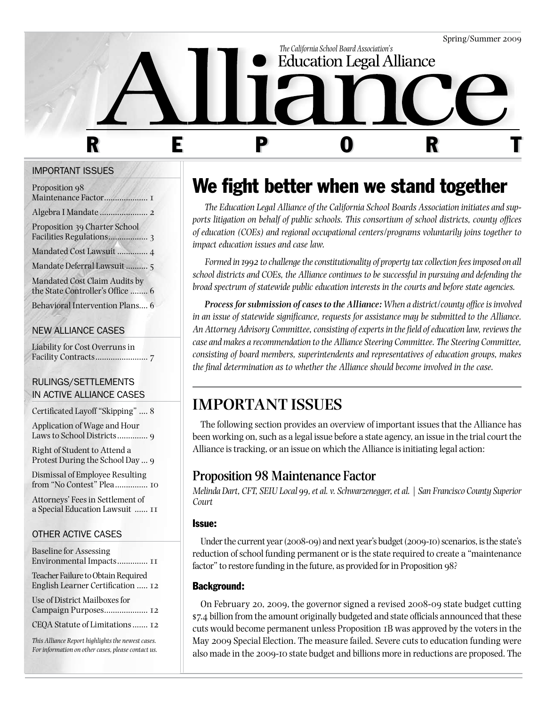

#### Important issues

| Proposition 98                                                    |  |
|-------------------------------------------------------------------|--|
|                                                                   |  |
| Proposition 39 Charter School                                     |  |
| Mandated Cost Lawsuit  4                                          |  |
| Mandate Deferral Lawsuit  5                                       |  |
| Mandated Cost Claim Audits by<br>the State Controller's Office  6 |  |
| Behavioral Intervention Plans 6                                   |  |
|                                                                   |  |

### NEW ALLIANCE CASES

Liability for Cost Overruns in Facility Contracts........................ 7

### Rulings/settlements in active alliance cases

Certificated Layoff "Skipping" .... 8

Application of Wage and Hour Laws to School Districts.............. 9

Right of Student to Attend a Protest During the School Day ... 9

Dismissal of Employee Resulting from "No Contest" Plea............... 10

Attorneys' Fees in Settlement of a Special Education Lawsuit ...... 11

## OTHER ACTIVE CASES

| <b>Baseline for Assessing</b><br>Environmental Impacts II                                               |
|---------------------------------------------------------------------------------------------------------|
| Teacher Failure to Obtain Required<br>English Learner Certification  12                                 |
| Use of District Mailboxes for                                                                           |
| CEQA Statute of Limitations 12                                                                          |
| This Alliance Report highlights the newest cases.<br>For information on other cases, please contact us. |

# We fight better when we stand together

*The Education Legal Alliance of the California School Boards Association initiates and supports litigation on behalf of public schools. This consortium of school districts, county offices of education (COEs) and regional occupational centers/programs voluntarily joins together to impact education issues and case law.*

*Formed in 1992 to challenge the constitutionality of property tax collection fees imposed on all school districts and COEs, the Alliance continues to be successful in pursuing and defending the broad spectrum of statewide public education interests in the courts and before state agencies.* 

*Process for submission of cases to the Alliance: When a district/county office is involved in an issue of statewide significance, requests for assistance may be submitted to the Alliance. An Attorney Advisory Committee, consisting of experts in the field of education law, reviews the case and makes a recommendation to the Alliance Steering Committee. The Steering Committee, consisting of board members, superintendents and representatives of education groups, makes the final determination as to whether the Alliance should become involved in the case.* 

## **IMPORTANT ISSUES**

The following section provides an overview of important issues that the Alliance has been working on, such as a legal issue before a state agency, an issue in the trial court the Alliance is tracking, or an issue on which the Alliance is initiating legal action:

## **Proposition 98 Maintenance Factor**

*Melinda Dart, CFT, SEIU Local 99, et al. v. Schwarzenegger, et al. | San Francisco County Superior Court*

### Issue:

Under the current year (2008-09) and next year's budget (2009-10) scenarios, is the state's reduction of school funding permanent or is the state required to create a "maintenance factor" to restore funding in the future, as provided for in Proposition 98?

## Background:

On February 20, 2009, the governor signed a revised 2008-09 state budget cutting \$7.4 billion from the amount originally budgeted and state officials announced that these cuts would become permanent unless Proposition 1B was approved by the voters in the May 2009 Special Election. The measure failed. Severe cuts to education funding were also made in the 2009-10 state budget and billions more in reductions are proposed. The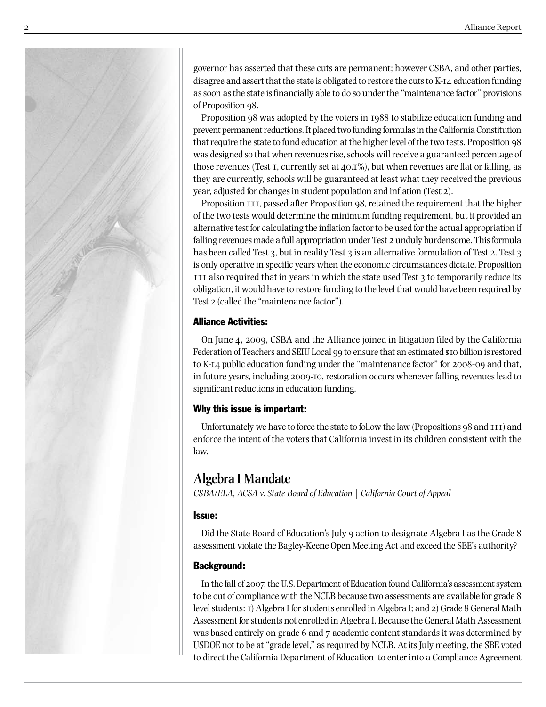

governor has asserted that these cuts are permanent; however CSBA, and other parties, disagree and assert that the state is obligated to restore the cuts to K-14 education funding as soon as the state is financially able to do so under the "maintenance factor" provisions of Proposition 98.

Proposition 98 was adopted by the voters in 1988 to stabilize education funding and prevent permanent reductions. It placed two funding formulas in the California Constitution that require the state to fund education at the higher level of the two tests. Proposition 98 was designed so that when revenues rise, schools will receive a guaranteed percentage of those revenues (Test 1, currently set at 40.1%), but when revenues are flat or falling, as they are currently, schools will be guaranteed at least what they received the previous year, adjusted for changes in student population and inflation (Test 2).

Proposition 111, passed after Proposition 98, retained the requirement that the higher of the two tests would determine the minimum funding requirement, but it provided an alternative test for calculating the inflation factor to be used for the actual appropriation if falling revenues made a full appropriation under Test 2 unduly burdensome. This formula has been called Test 3, but in reality Test 3 is an alternative formulation of Test 2. Test 3 is only operative in specific years when the economic circumstances dictate. Proposition 111 also required that in years in which the state used Test 3 to temporarily reduce its obligation, it would have to restore funding to the level that would have been required by Test 2 (called the "maintenance factor").

### Alliance Activities:

On June 4, 2009, CSBA and the Alliance joined in litigation filed by the California Federation of Teachers and SEIU Local 99 to ensure that an estimated \$10 billion is restored to K-14 public education funding under the "maintenance factor" for 2008-09 and that, in future years, including 2009-10, restoration occurs whenever falling revenues lead to significant reductions in education funding.

## Why this issue is important:

Unfortunately we have to force the state to follow the law (Propositions 98 and 111) and enforce the intent of the voters that California invest in its children consistent with the law.

## **Algebra I Mandate**

*CSBA/ELA, ACSA v. State Board of Education | California Court of Appeal*

## Issue:

Did the State Board of Education's July 9 action to designate Algebra I as the Grade 8 assessment violate the Bagley-Keene Open Meeting Act and exceed the SBE's authority?

## Background:

In the fall of 2007, the U.S. Department of Education found California's assessment system to be out of compliance with the NCLB because two assessments are available for grade 8 level students: 1) Algebra I for students enrolled in Algebra I; and 2) Grade 8 General Math Assessment for students not enrolled in Algebra I. Because the General Math Assessment was based entirely on grade 6 and 7 academic content standards it was determined by USDOE not to be at "grade level," as required by NCLB. At its July meeting, the SBE voted to direct the California Department of Education to enter into a Compliance Agreement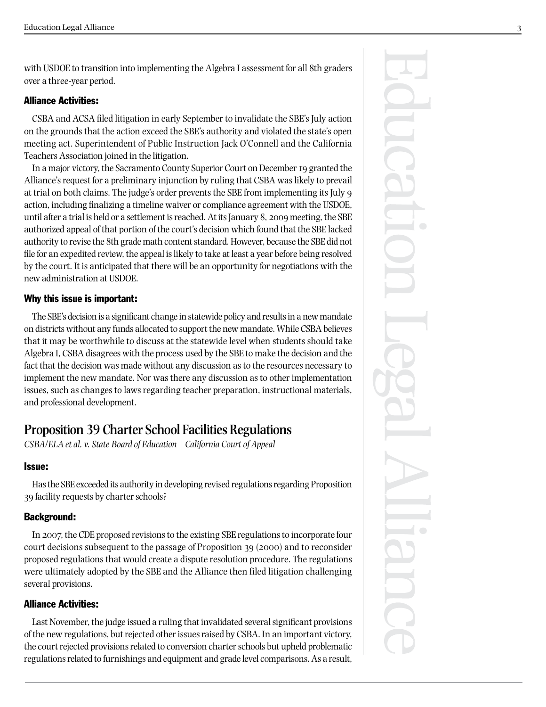with USDOE to transition into implementing the Algebra I assessment for all 8th graders over a three-year period.

### Alliance Activities:

CSBA and ACSA filed litigation in early September to invalidate the SBE's July action on the grounds that the action exceed the SBE's authority and violated the state's open meeting act. Superintendent of Public Instruction Jack O'Connell and the California Teachers Association joined in the litigation.

In a major victory, the Sacramento County Superior Court on December 19 granted the Alliance's request for a preliminary injunction by ruling that CSBA was likely to prevail at trial on both claims. The judge's order prevents the SBE from implementing its July 9 action, including finalizing a timeline waiver or compliance agreement with the USDOE, until after a trial is held or a settlement is reached. At its January 8, 2009 meeting, the SBE authorized appeal of that portion of the court's decision which found that the SBE lacked authority to revise the 8th grade math content standard. However, because the SBE did not file for an expedited review, the appeal is likely to take at least a year before being resolved by the court. It is anticipated that there will be an opportunity for negotiations with the new administration at USDOE.

### Why this issue is important:

The SBE's decision is a significant change in statewide policy and results in a new mandate on districts without any funds allocated to support the new mandate. While CSBA believes that it may be worthwhile to discuss at the statewide level when students should take Algebra I, CSBA disagrees with the process used by the SBE to make the decision and the fact that the decision was made without any discussion as to the resources necessary to implement the new mandate. Nor was there any discussion as to other implementation issues, such as changes to laws regarding teacher preparation, instructional materials, and professional development.

## **Proposition 39 Charter School Facilities Regulations**

*CSBA/ELA et al. v. State Board of Education | California Court of Appeal*

### Issue:

Has the SBE exceeded its authority in developing revised regulations regarding Proposition 39 facility requests by charter schools?

### Background:

In 2007, the CDE proposed revisions to the existing SBE regulations to incorporate four court decisions subsequent to the passage of Proposition 39 (2000) and to reconsider proposed regulations that would create a dispute resolution procedure. The regulations were ultimately adopted by the SBE and the Alliance then filed litigation challenging several provisions.

### Alliance Activities:

Last November, the judge issued a ruling that invalidated several significant provisions of the new regulations, but rejected other issues raised by CSBA. In an important victory, the court rejected provisions related to conversion charter schools but upheld problematic regulations related to furnishings and equipment and grade level comparisons. As a result,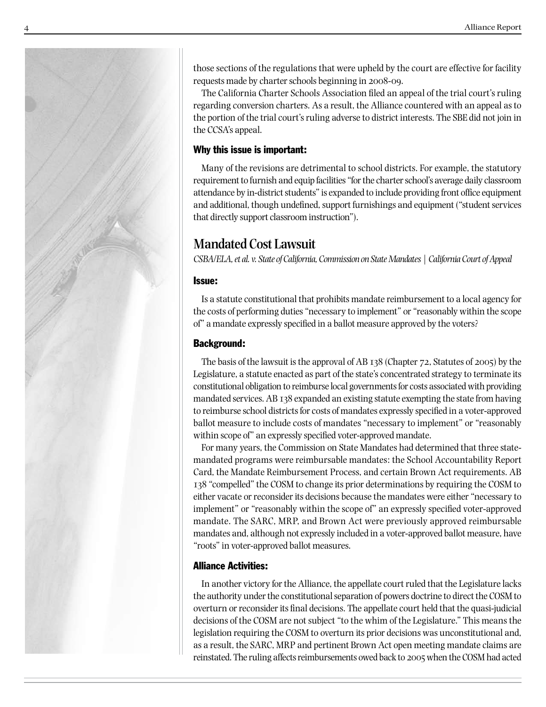

those sections of the regulations that were upheld by the court are effective for facility requests made by charter schools beginning in 2008-09.

The California Charter Schools Association filed an appeal of the trial court's ruling regarding conversion charters. As a result, the Alliance countered with an appeal as to the portion of the trial court's ruling adverse to district interests. The SBE did not join in the CCSA's appeal.

### Why this issue is important:

Many of the revisions are detrimental to school districts. For example, the statutory requirement to furnish and equip facilities "for the charter school's average daily classroom attendance by in-district students" is expanded to include providing front office equipment and additional, though undefined, support furnishings and equipment ("student services that directly support classroom instruction").

## **Mandated Cost Lawsuit**

*CSBA/ELA, et al. v. State of California, Commission on State Mandates | California Court of Appeal*

### Issue:

Is a statute constitutional that prohibits mandate reimbursement to a local agency for the costs of performing duties "necessary to implement" or "reasonably within the scope of" a mandate expressly specified in a ballot measure approved by the voters?

## Background:

The basis of the lawsuit is the approval of AB 138 (Chapter 72, Statutes of 2005) by the Legislature, a statute enacted as part of the state's concentrated strategy to terminate its constitutional obligation to reimburse local governments for costs associated with providing mandated services. AB 138 expanded an existing statute exempting the state from having to reimburse school districts for costs of mandates expressly specified in a voter-approved ballot measure to include costs of mandates "necessary to implement" or "reasonably within scope of" an expressly specified voter-approved mandate.

For many years, the Commission on State Mandates had determined that three statemandated programs were reimbursable mandates: the School Accountability Report Card, the Mandate Reimbursement Process, and certain Brown Act requirements. AB 138 "compelled" the COSM to change its prior determinations by requiring the COSM to either vacate or reconsider its decisions because the mandates were either "necessary to implement" or "reasonably within the scope of" an expressly specified voter-approved mandate. The SARC, MRP, and Brown Act were previously approved reimbursable mandates and, although not expressly included in a voter-approved ballot measure, have "roots" in voter-approved ballot measures.

### Alliance Activities:

In another victory for the Alliance, the appellate court ruled that the Legislature lacks the authority under the constitutional separation of powers doctrine to direct the COSM to overturn or reconsider its final decisions. The appellate court held that the quasi-judicial decisions of the COSM are not subject "to the whim of the Legislature." This means the legislation requiring the COSM to overturn its prior decisions was unconstitutional and, as a result, the SARC, MRP and pertinent Brown Act open meeting mandate claims are reinstated. The ruling affects reimbursements owed back to 2005 when the COSM had acted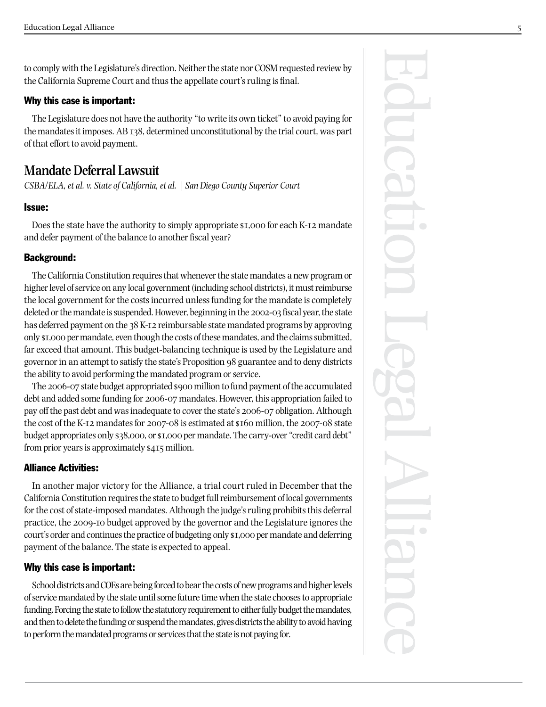to comply with the Legislature's direction. Neither the state nor COSM requested review by the California Supreme Court and thus the appellate court's ruling is final.

#### Why this case is important:

The Legislature does not have the authority "to write its own ticket" to avoid paying for the mandates it imposes. AB 138, determined unconstitutional by the trial court, was part of that effort to avoid payment.

## **Mandate Deferral Lawsuit**

*CSBA/ELA, et al. v. State of California, et al. | San Diego County Superior Court*

#### Issue:

Does the state have the authority to simply appropriate \$1,000 for each K-12 mandate and defer payment of the balance to another fiscal year?

### Background:

The California Constitution requires that whenever the state mandates a new program or higher level of service on any local government (including school districts), it must reimburse the local government for the costs incurred unless funding for the mandate is completely deleted or the mandate is suspended. However, beginning in the 2002-03 fiscal year, the state has deferred payment on the 38 K-12 reimbursable state mandated programs by approving only \$1,000 per mandate, even though the costs of these mandates, and the claims submitted, far exceed that amount. This budget-balancing technique is used by the Legislature and governor in an attempt to satisfy the state's Proposition 98 guarantee and to deny districts the ability to avoid performing the mandated program or service.

The 2006-07 state budget appropriated \$900 million to fund payment of the accumulated debt and added some funding for 2006-07 mandates. However, this appropriation failed to pay off the past debt and was inadequate to cover the state's 2006-07 obligation. Although the cost of the K-12 mandates for 2007-08 is estimated at \$160 million, the 2007-08 state budget appropriates only \$38,000, or \$1,000 per mandate. The carry-over "credit card debt" from prior years is approximately \$415 million.

### Alliance Activities:

In another major victory for the Alliance, a trial court ruled in December that the California Constitution requires the state to budget full reimbursement of local governments for the cost of state-imposed mandates. Although the judge's ruling prohibits this deferral practice, the 2009-10 budget approved by the governor and the Legislature ignores the court's order and continues the practice of budgeting only \$1,000 per mandate and deferring payment of the balance. The state is expected to appeal.

#### Why this case is important:

School districts and COEs are being forced to bear the costs of new programs and higher levels of service mandated by the state until some future time when the state chooses to appropriate funding. Forcing the state to follow the statutory requirement to either fully budget the mandates, and then to delete the funding or suspend the mandates, gives districts the ability to avoid having to perform the mandated programs or services that the state is not paying for.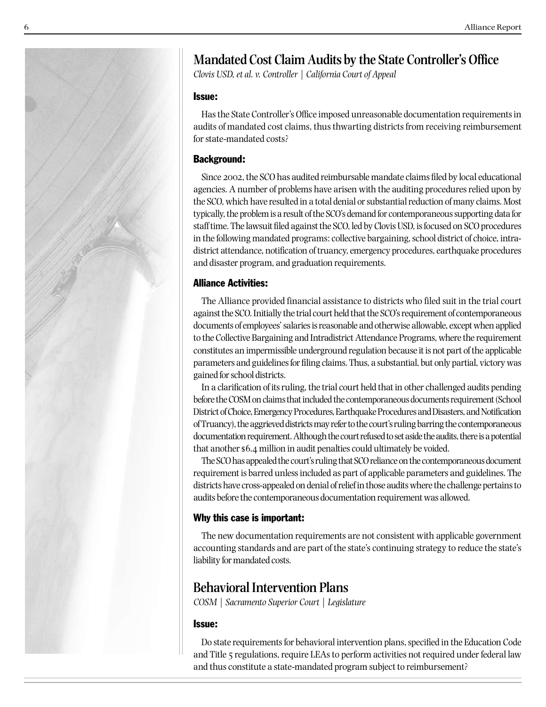

## **Mandated Cost Claim Audits by the State Controller's Office**

*Clovis USD, et al. v. Controller | California Court of Appeal*

#### Issue:

Has the State Controller's Office imposed unreasonable documentation requirements in audits of mandated cost claims, thus thwarting districts from receiving reimbursement for state-mandated costs?

### Background:

Since 2002, the SCO has audited reimbursable mandate claims filed by local educational agencies. A number of problems have arisen with the auditing procedures relied upon by the SCO, which have resulted in a total denial or substantial reduction of many claims. Most typically, the problem is a result of the SCO's demand for contemporaneous supporting data for staff time. The lawsuit filed against the SCO, led by Clovis USD, is focused on SCO procedures in the following mandated programs: collective bargaining, school district of choice, intradistrict attendance, notification of truancy, emergency procedures, earthquake procedures and disaster program, and graduation requirements.

### Alliance Activities:

The Alliance provided financial assistance to districts who filed suit in the trial court against the SCO. Initially the trial court held that the SCO's requirement of contemporaneous documents of employees' salaries is reasonable and otherwise allowable, except when applied to the Collective Bargaining and Intradistrict Attendance Programs, where the requirement constitutes an impermissible underground regulation because it is not part of the applicable parameters and guidelines for filing claims. Thus, a substantial, but only partial, victory was gained for school districts.

In a clarification of its ruling, the trial court held that in other challenged audits pending before the COSM on claims that included the contemporaneous documents requirement (School District of Choice, Emergency Procedures, Earthquake Procedures and Disasters, and Notification of Truancy), the aggrieved districts may refer to the court's ruling barring the contemporaneous documentation requirement. Although the court refused to set aside the audits, there is a potential that another \$6.4 million in audit penalties could ultimately be voided.

The SCO has appealed the court's ruling that SCO reliance on the contemporaneous document requirement is barred unless included as part of applicable parameters and guidelines. The districts have cross-appealed on denial of relief in those audits where the challenge pertains to audits before the contemporaneous documentation requirement was allowed.

## Why this case is important:

The new documentation requirements are not consistent with applicable government accounting standards and are part of the state's continuing strategy to reduce the state's liability for mandated costs.

## **Behavioral Intervention Plans**

*COSM | Sacramento Superior Court | Legislature*

### Issue:

Do state requirements for behavioral intervention plans, specified in the Education Code and Title 5 regulations, require LEAs to perform activities not required under federal law and thus constitute a state-mandated program subject to reimbursement?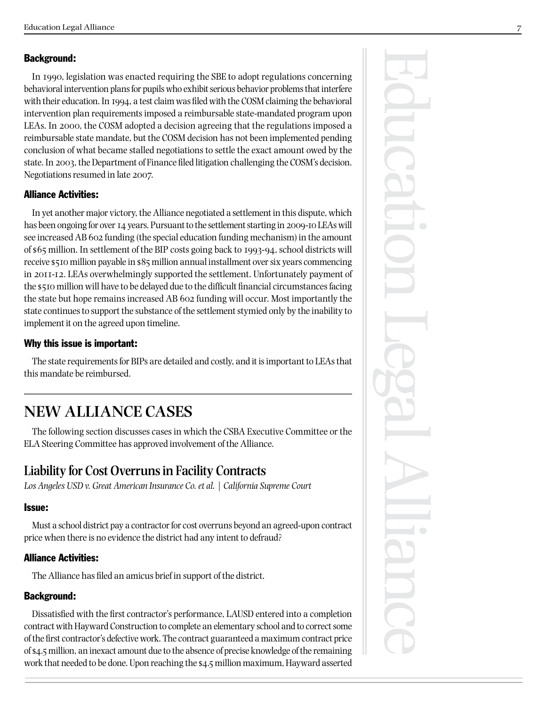## Background:

In 1990, legislation was enacted requiring the SBE to adopt regulations concerning behavioral intervention plans for pupils who exhibit serious behavior problems that interfere with their education. In 1994, a test claim was filed with the COSM claiming the behavioral intervention plan requirements imposed a reimbursable state-mandated program upon LEAs. In 2000, the COSM adopted a decision agreeing that the regulations imposed a reimbursable state mandate, but the COSM decision has not been implemented pending conclusion of what became stalled negotiations to settle the exact amount owed by the state. In 2003, the Department of Finance filed litigation challenging the COSM's decision. Negotiations resumed in late 2007.

## Alliance Activities:

In yet another major victory, the Alliance negotiated a settlement in this dispute, which has been ongoing for over 14 years. Pursuant to the settlement starting in 2009-10 LEAs will see increased AB 602 funding (the special education funding mechanism) in the amount of \$65 million. In settlement of the BIP costs going back to 1993-94, school districts will receive \$510 million payable in \$85 million annual installment over six years commencing in 2011-12. LEAs overwhelmingly supported the settlement. Unfortunately payment of the \$510 million will have to be delayed due to the difficult financial circumstances facing the state but hope remains increased AB 602 funding will occur. Most importantly the state continues to support the substance of the settlement stymied only by the inability to implement it on the agreed upon timeline.

## Why this issue is important:

The state requirements for BIPs are detailed and costly, and it is important to LEAs that this mandate be reimbursed.

## **NEW ALLIANCE CASES**

The following section discusses cases in which the CSBA Executive Committee or the ELA Steering Committee has approved involvement of the Alliance.

## **Liability for Cost Overruns in Facility Contracts**

*Los Angeles USD v. Great American Insurance Co. et al. | California Supreme Court*

## Issue:

Must a school district pay a contractor for cost overruns beyond an agreed-upon contract price when there is no evidence the district had any intent to defraud?

## Alliance Activities:

The Alliance has filed an amicus brief in support of the district.

## Background:

Dissatisfied with the first contractor's performance, LAUSD entered into a completion contract with Hayward Construction to complete an elementary school and to correct some of the first contractor's defective work. The contract guaranteed a maximum contract price of \$4.5 million, an inexact amount due to the absence of precise knowledge of the remaining work that needed to be done. Upon reaching the \$4.5 million maximum, Hayward asserted

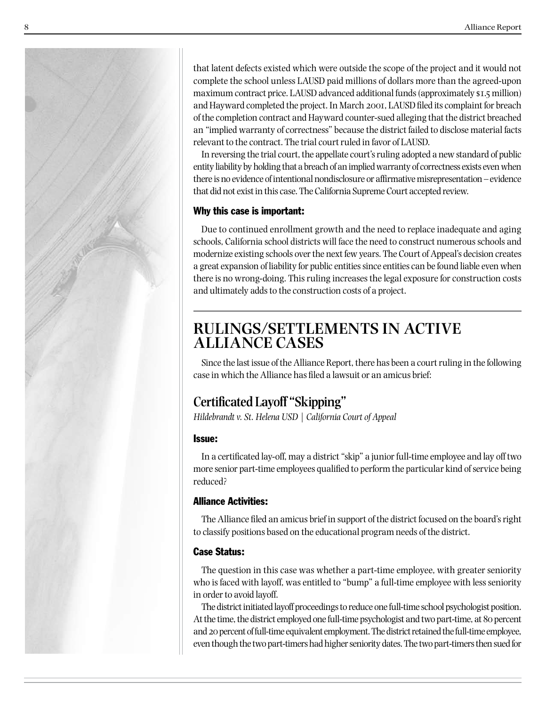

that latent defects existed which were outside the scope of the project and it would not complete the school unless LAUSD paid millions of dollars more than the agreed-upon maximum contract price. LAUSD advanced additional funds (approximately \$1.5 million) and Hayward completed the project. In March 2001, LAUSD filed its complaint for breach of the completion contract and Hayward counter-sued alleging that the district breached an "implied warranty of correctness" because the district failed to disclose material facts relevant to the contract. The trial court ruled in favor of LAUSD.

In reversing the trial court, the appellate court's ruling adopted a new standard of public entity liability by holding that a breach of an implied warranty of correctness exists even when there is no evidence of intentional nondisclosure or affirmative misrepresentation – evidence that did not exist in this case. The California Supreme Court accepted review.

## Why this case is important:

Due to continued enrollment growth and the need to replace inadequate and aging schools, California school districts will face the need to construct numerous schools and modernize existing schools over the next few years. The Court of Appeal's decision creates a great expansion of liability for public entities since entities can be found liable even when there is no wrong-doing. This ruling increases the legal exposure for construction costs and ultimately adds to the construction costs of a project.

## **RULINGS/SETTLEMENTS IN ACTIVE ALLIANCE CASES**

Since the last issue of the Alliance Report, there has been a court ruling in the following case in which the Alliance has filed a lawsuit or an amicus brief:

## **Certificated Layoff "Skipping"**

*Hildebrandt v. St. Helena USD | California Court of Appeal*

## Issue:

In a certificated lay-off, may a district "skip" a junior full-time employee and lay off two more senior part-time employees qualified to perform the particular kind of service being reduced?

## Alliance Activities:

The Alliance filed an amicus brief in support of the district focused on the board's right to classify positions based on the educational program needs of the district.

## Case Status:

The question in this case was whether a part-time employee, with greater seniority who is faced with layoff, was entitled to "bump" a full-time employee with less seniority in order to avoid layoff.

The district initiated layoff proceedings to reduce one full-time school psychologist position. At the time, the district employed one full-time psychologist and two part-time, at 80 percent and 20 percent of full-time equivalent employment. The district retained the full-time employee, even though the two part-timers had higher seniority dates. The two part-timers then sued for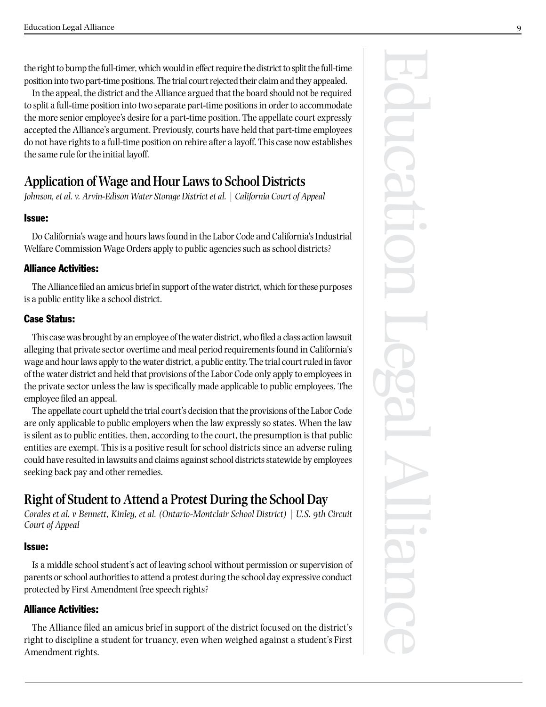the right to bump the full-timer, which would in effect require the district to split the full-time position into two part-time positions. The trial court rejected their claim and they appealed.

In the appeal, the district and the Alliance argued that the board should not be required to split a full-time position into two separate part-time positions in order to accommodate the more senior employee's desire for a part-time position. The appellate court expressly accepted the Alliance's argument. Previously, courts have held that part-time employees do not have rights to a full-time position on rehire after a layoff. This case now establishes the same rule for the initial layoff.

## **Application of Wage and Hour Laws to School Districts**

*Johnson, et al. v. Arvin-Edison Water Storage District et al. | California Court of Appeal*

### Issue:

Do California's wage and hours laws found in the Labor Code and California's Industrial Welfare Commission Wage Orders apply to public agencies such as school districts?

### Alliance Activities:

The Alliance filed an amicus brief in support of the water district, which for these purposes is a public entity like a school district.

### Case Status:

This case was brought by an employee of the water district, who filed a class action lawsuit alleging that private sector overtime and meal period requirements found in California's wage and hour laws apply to the water district, a public entity. The trial court ruled in favor of the water district and held that provisions of the Labor Code only apply to employees in the private sector unless the law is specifically made applicable to public employees. The employee filed an appeal.

The appellate court upheld the trial court's decision that the provisions of the Labor Code are only applicable to public employers when the law expressly so states. When the law is silent as to public entities, then, according to the court, the presumption is that public entities are exempt. This is a positive result for school districts since an adverse ruling could have resulted in lawsuits and claims against school districts statewide by employees seeking back pay and other remedies.

## **Right of Student to Attend a Protest During the School Day**

*Corales et al. v Bennett, Kinley, et al. (Ontario-Montclair School District) | U.S. 9th Circuit Court of Appeal*

### Issue:

Is a middle school student's act of leaving school without permission or supervision of parents or school authorities to attend a protest during the school day expressive conduct protected by First Amendment free speech rights?

## Alliance Activities:

The Alliance filed an amicus brief in support of the district focused on the district's right to discipline a student for truancy, even when weighed against a student's First Amendment rights.

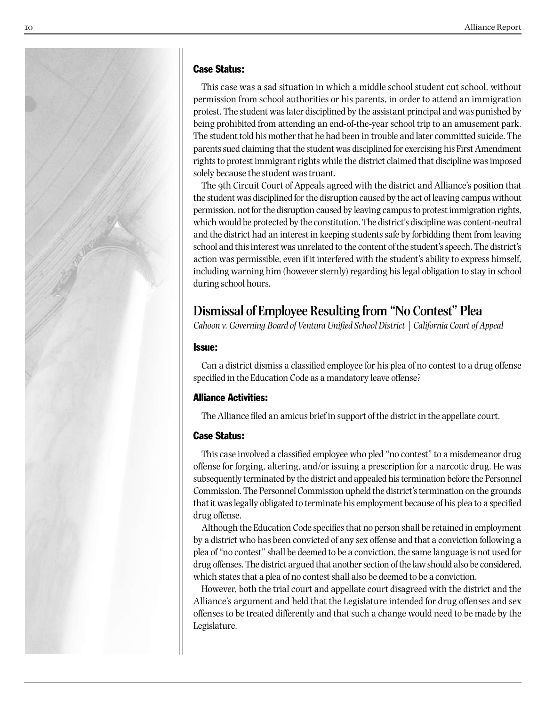

#### Case Status:

This case was a sad situation in which a middle school student cut school, without permission from school authorities or his parents, in order to attend an immigration protest. The student was later disciplined by the assistant principal and was punished by being prohibited from attending an end-of-the-year school trip to an amusement park. The student told his mother that he had been in trouble and later committed suicide. The parents sued claiming that the student was disciplined for exercising his First Amendment rights to protest immigrant rights while the district claimed that discipline was imposed solely because the student was truant.

The 9th Circuit Court of Appeals agreed with the district and Alliance's position that the student was disciplined for the disruption caused by the act of leaving campus without permission, not for the disruption caused by leaving campus to protest immigration rights, which would be protected by the constitution. The district's discipline was content-neutral and the district had an interest in keeping students safe by forbidding them from leaving school and this interest was unrelated to the content of the student's speech. The district's action was permissible, even if it interfered with the student's ability to express himself, including warning him (however sternly) regarding his legal obligation to stay in school during school hours.

## **Dismissal of Employee Resulting from "No Contest" Plea**

*Cahoon v. Governing Board of Ventura Unified School District | California Court of Appeal*

### Issue:

Can a district dismiss a classified employee for his plea of no contest to a drug offense specified in the Education Code as a mandatory leave offense?

### Alliance Activities:

The Alliance filed an amicus brief in support of the district in the appellate court.

### Case Status:

This case involved a classified employee who pled "no contest" to a misdemeanor drug offense for forging, altering, and/or issuing a prescription for a narcotic drug. He was subsequently terminated by the district and appealed his termination before the Personnel Commission. The Personnel Commission upheld the district's termination on the grounds that it was legally obligated to terminate his employment because of his plea to a specified drug offense.

Although the Education Code specifies that no person shall be retained in employment by a district who has been convicted of any sex offense and that a conviction following a plea of "no contest" shall be deemed to be a conviction, the same language is not used for drug offenses. The district argued that another section of the law should also be considered, which states that a plea of no contest shall also be deemed to be a conviction.

However, both the trial court and appellate court disagreed with the district and the Alliance's argument and held that the Legislature intended for drug offenses and sex offenses to be treated differently and that such a change would need to be made by the Legislature.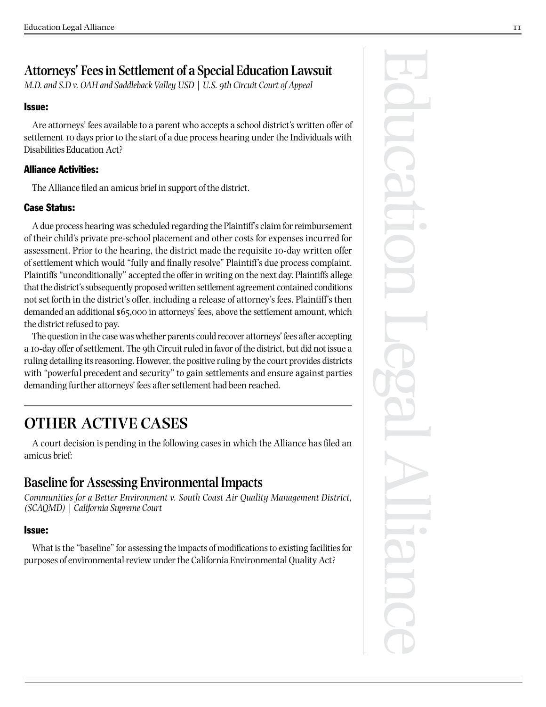## **Attorneys' Fees in Settlement of a Special Education Lawsuit**

*M.D. and S.D v. OAH and Saddleback Valley USD | U.S. 9th Circuit Court of Appeal*

## Issue:

Are attorneys' fees available to a parent who accepts a school district's written offer of settlement 10 days prior to the start of a due process hearing under the Individuals with Disabilities Education Act?

## Alliance Activities:

The Alliance filed an amicus brief in support of the district.

## Case Status:

A due process hearing was scheduled regarding the Plaintiff's claim for reimbursement of their child's private pre-school placement and other costs for expenses incurred for assessment. Prior to the hearing, the district made the requisite 10-day written offer of settlement which would "fully and finally resolve" Plaintiff's due process complaint. Plaintiffs "unconditionally" accepted the offer in writing on the next day. Plaintiffs allege that the district's subsequently proposed written settlement agreement contained conditions not set forth in the district's offer, including a release of attorney's fees. Plaintiff's then demanded an additional \$65,000 in attorneys' fees, above the settlement amount, which the district refused to pay.

The question in the case was whether parents could recover attorneys' fees after accepting a 10-day offer of settlement. The 9th Circuit ruled in favor of the district, but did not issue a ruling detailing its reasoning. However, the positive ruling by the court provides districts with "powerful precedent and security" to gain settlements and ensure against parties demanding further attorneys' fees after settlement had been reached.

## **OTHER ACTIVE CASES**

A court decision is pending in the following cases in which the Alliance has filed an amicus brief:

## **Baseline for Assessing Environmental Impacts**

*Communities for a Better Environment v. South Coast Air Quality Management District, (SCAQMD) | California Supreme Court*

## Issue:

What is the "baseline" for assessing the impacts of modifications to existing facilities for purposes of environmental review under the California Environmental Quality Act?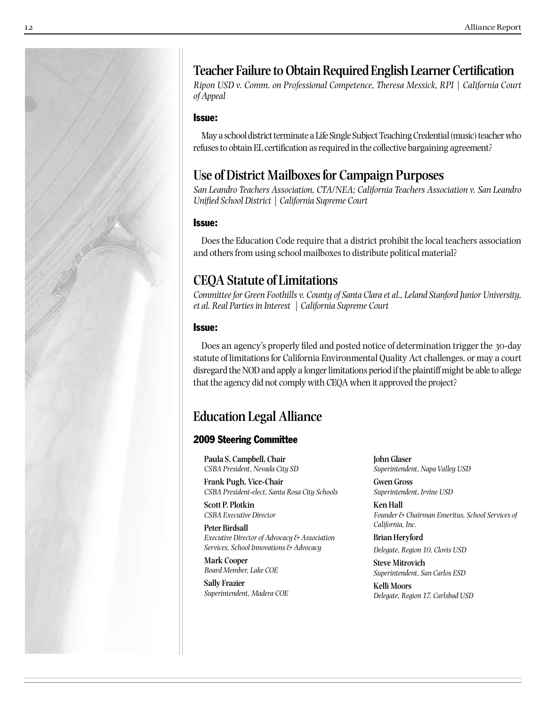

## **Teacher Failure to Obtain Required English Learner Certification**

*Ripon USD v. Comm. on Professional Competence, Theresa Messick, RPI | California Court of Appeal*

#### Issue:

May a school district terminate a Life Single Subject Teaching Credential (music) teacher who refuses to obtain EL certification as required in the collective bargaining agreement?

## **Use of District Mailboxes for Campaign Purposes**

*San Leandro Teachers Association, CTA/NEA; California Teachers Association v. San Leandro Unified School District | California Supreme Court*

#### Issue:

Does the Education Code require that a district prohibit the local teachers association and others from using school mailboxes to distribute political material?

## **CEQA Statute of Limitations**

*Committee for Green Foothills v. County of Santa Clara et al., Leland Stanford Junior University, et al. Real Parties in Interest | California Supreme Court*

#### Issue:

Does an agency's properly filed and posted notice of determination trigger the 30-day statute of limitations for California Environmental Quality Act challenges, or may a court disregard the NOD and apply a longer limitations period if the plaintiff might be able to allege that the agency did not comply with CEQA when it approved the project?

## **Education Legal Alliance**

## 2009 Steering Committee

**Paula S. Campbell, Chair** *CSBA President, Nevada City SD* **Frank Pugh, Vice-Chair**

*CSBA President-elect, Santa Rosa City Schools*

**Scott P. Plotkin** *CSBA Executive Director*

**Peter Birdsall** *Executive Director of Advocacy & Association Services, School Innovations & Advocacy*

**Mark Cooper** *Board Member, Lake COE*

**Sally Frazier** *Superintendent, Madera COE* **John Glaser** *Superintendent, Napa Valley USD*

**Gwen Gross** *Superintendent, Irvine USD*

**Ken Hall** *Founder & Chairman Emeritus, School Services of California, Inc.*

**Brian Heryford** *Delegate, Region 10, Clovis USD* 

**Steve Mitrovich** *Superintendent, San Carlos ESD*

**Kelli Moors** *Delegate, Region 17, Carlsbad USD*